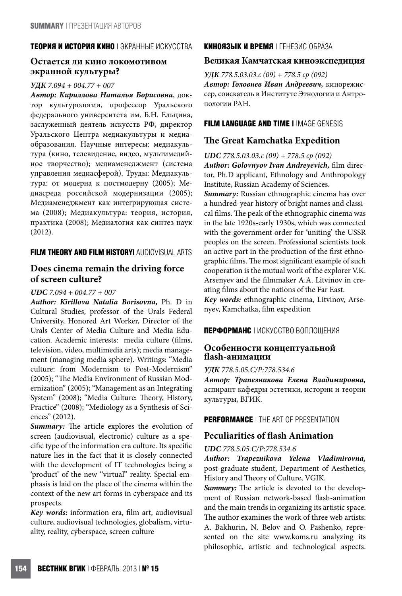#### **ТЕОРИЯ И ИСТОРИЯ КИНО** | ЭКРАННЫЕ ИСКУССТВА

## **Остается ли кино локомотивом экранной культуры?**

#### *УДК 7.094 + 004.77 + 007*

*Автор: Кириллова Наталья Борисовна*, доктор культурологии, профессор Уральского федерального университета им. Б.Н. Ельцина, заслуженный деятель искусств РФ, директор Уральского Центра медиакультуры и медиаобразования. Научные интересы: медиакультура (кино, телевидение, видео, мультимедийное творчество); медиаменеджмент (система управления медиасферой). Труды: Медиакультура: от модерна к постмодерну (2005); Медиасреда российской модернизации (2005); Медиаменеджмент как интегрирующая система (2008); Медиакультура: теория, история, практика (2008); Медиалогия как синтез наук (2012).

#### **FILM THEORY AND FILM HISTORY|** AUDIOVISUAL ARTS

## **Does cinema remain the driving force of screen culture?**

#### *UDC 7.094 + 004.77 + 007*

*Author: Kirillova Natalia Borisovna,* Ph. D in Cultural Studies, professor of the Urals Federal University, Honored Art Worker, Director of the Urals Center of Media Culture and Media Education. Academic interests: media culture (films, television, video, multimedia arts); media management (managing media sphere). Writings: "Media culture: from Modernism to Post-Modernism" (2005); "The Media Environment of Russian Modernization" (2005); "Management as an Integrating System" (2008); "Media Culture: Theory, History, Practice" (2008); "Mediology as a Synthesis of Sciences" (2012).

*Summary:* The article explores the evolution of screen (audiovisual, electronic) culture as a specific type of the information era culture. Its specific nature lies in the fact that it is closely connected with the development of IT technologies being a 'product' of the new "virtual" reality. Special emphasis is laid on the place of the cinema within the context of the new art forms in cyberspace and its prospects.

*Key words:* information era, film art, audiovisual culture, audiovisual technologies, globalism, virtuality, reality, cyberspace, screen culture

#### **КИНОЯЗЫК И ВРЕМЯ** | ГЕНЕЗИС ОБРАЗА

#### **Великая Камчатская киноэкспедиция**

*УДК 778.5.03.03.с (09) + 778.5 ср (092)*

*Автор: Головнев Иван Андреевич,* кинорежиссер, соискатель в Институте Этнологии и Антропологии РАН.

#### **FILM LANGUAGE AND TIME |** IMAGE GENESIS

## **The Great Kamchatka Expedition**

#### *UDC 778.5.03.03.с (09) + 778.5 ср (092)*

*Author: Golovnyov Ivan Andreyevich,* film director, Ph.D applicant, Ethnology and Anthropology Institute, Russian Academy of Sciences.

*Summary:* Russian ethnographic cinema has over a hundred-year history of bright names and classical films. The peak of the ethnographic cinema was in the late 1920s-early 1930s, which was connected with the government order for 'uniting' the USSR peoples on the screen. Professional scientists took an active part in the production of the first ethnographic films. The most significant example of such cooperation is the mutual work of the explorer V.K. Arsenyev and the filmmaker A.A. Litvinov in creating films about the nations of the Far East. *Key words:* ethnographic cinema, Litvinov, Arsenyev, Kamchatka, film expedition

#### **ПЕРФОРМАНС** | ИСКУССТВО ВОПЛОЩЕНИЯ

#### **Особенности концептуальной flash-анимации**

#### *УДК 778.5.05.С/Р:778.534.6*

*Автор: Трапезникова Елена Владимировна,*  аспирант кафедры эстетики, истории и теории культуры, ВГИК.

#### **PERFORMANCE** | THE ART OF PRESENTATION

## **Peculiarities of flash Animation**

#### *UDC 778.5.05.С/Р:778.534.6*

*Author: Trapeznikova Yelena Vladimirovna,*  post-graduate student, Department of Aesthetics, History and Theory of Culture, VGIK.

*Summary:* The article is devoted to the development of Russian network-based flash-animation and the main trends in organizing its artistic space. The author examines the work of three web artists: A. Bakhurin, N. Belov and O. Pashenko, represented on the site www.koms.ru analyzing its philosophic, artistic and technological aspects.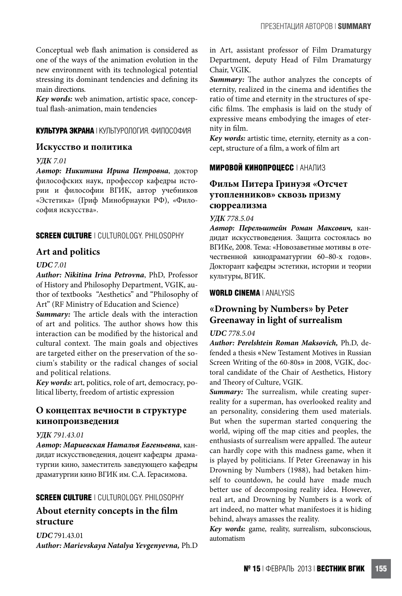Conceptual web flash animation is considered as one of the ways of the animation evolution in the new environment with its technological potential stressing its dominant tendencies and defining its main directions.

*Key words:* web animation, artistic space, conceptual flash-animation, main tendencies

## **КУЛЬТУРА ЭКРАНА** | КУЛЬТУРОЛОГИЯ. ФИЛОСОФИЯ

## **Искусство и политика**

#### *УДК 7.01*

*Автор: Никитина Ирина Петровна*, доктор философских наук, профессор кафедры истории и философии ВГИК, автор учебников «Эстетика» (Гриф Минобрнауки РФ), «Философия искусства».

## **SCREEN CULTURE** | CULTUROLOGY. PHILOSOPHY

# **Art and politics**

#### *UDC 7.01*

*Author: Nikitina Irina Petrovna*, PhD, Professor of History and Philosophy Department, VGIK, author of textbooks "Aesthetics" and "Philosophy of Art" (RF Ministry of Education and Science)

*Summary:* The article deals with the interaction of art and politics. The author shows how this interaction can be modified by the historical and cultural context. The main goals and objectives are targeted either on the preservation of the socium's stability or the radical changes of social and political relations.

*Key words:* art, politics, role of art, democracy, political liberty, freedom of artistic expression

# **О концептах вечности в структуре кинопроизведения**

#### *УДК 791.43.01*

*Автор: Мариевская Наталья Евгеньевна*, кандидат искусствоведения, доцент кафедры драматургии кино, заместитель заведующего кафедры драматургии кино ВГИК им. С.А. Герасимова.

## **SCREEN CULTURE** | CULTUROLOGY. PHILOSOPHY

# **About eternity concepts in the film structure**

#### *UDC* 791.43.01

*Author: Marievskaya Natalya Yevgenyevna,* Ph.D

in Art, assistant professor of Film Dramaturgy Department, deputy Head of Film Dramaturgy Chair, VGIK.

*Summary:* The author analyzes the concepts of eternity, realized in the cinema and identifies the ratio of time and eternity in the structures of specific films. The emphasis is laid on the study of expressive means embodying the images of eternity in film.

*Key words:* artistic time, eternity, eternity as a concept, structure of a film, a work of film art

## **МИРОВОЙ КИНОПРОЦЕСС** | АНАЛИЗ

# **Фильм Питера Гринуэя «Отсчет утопленников» сквозь призму сюрреализма**

#### *УДК 778.5.04*

*Автор: Перельштейн Роман Максович,* кандидат искусствоведения. Защита состоялась во ВГИКе, 2008. Тема: «Новозаветные мотивы в отечественной кинодраматургии 60–80-х годов». Докторант кафедры эстетики, истории и теории культуры, ВГИК.

## **WORLD CINEMA** | ANALYSIS

# «**Drowning by Numbers**» **by Peter Greenaway in light of surrealism**

#### *UDC 778.5.04*

*Author: Perelshtein Roman Maksovich,* Ph.D, defended a thesis «New Testament Motives in Russian Screen Writing of the 60-80s» in 2008, VGIK, doctoral candidate of the Chair of Aesthetics, History and Theory of Culture, VGIK.

*Summary:* The surrealism, while creating superreality for a superman, has overlooked reality and an personality, considering them used materials. But when the superman started conquering the world, wiping off the map cities and peoples, the enthusiasts of surrealism were appalled. The auteur can hardly cope with this madness game, when it is played by politicians. If Peter Greenaway in his Drowning by Numbers (1988), had betaken himself to countdown, he could have made much better use of decomposing reality idea. However, real art, and Drowning by Numbers is a work of art indeed, no matter what manifestoes it is hiding behind, always amasses the reality.

*Key words:* game, reality, surrealism, subconscious, automatism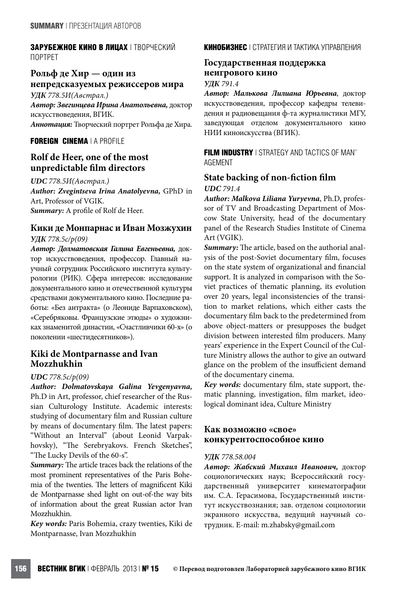## **ЗАРУБЕЖНОЕ КИНО В ЛИЦАХ** | ТВОРЧЕСКИЙ ПОРТРЕТ

# **Рольф де Хир — один из непредсказуемых режиссеров мира**

*УДК 778.5И(Австрал.) Автор: Звегинцева Ирина Анатольевна,* доктор искусствоведения, ВГИК. *Аннотация:* Творческий портрет Рольфа де Хира.

## **FOREIGN CINEMA** | A PROFILE

# **Rolf de Heer, one of the most unpredictable film directors**

*UDC 778.5И(Австрал.) Author: Zvegintseva Irina Anatolyevna,* GPhD in Art, Professor of VGIK. *Summary:* A profile of Rolf de Heer.

# **Кики де Монпарнас и Иван Мозжухин**

*УДК 778.5с/р(09)*

*Автор: Долматовская Галина Евгеньевна,* доктор искусствоведения, профессор. Главный научный сотрудник Российского института культурологии (РИК). Сфера интересов: исследование документального кино и отечественной культуры средствами документального кино. Последние работы: «Без антракта» (о Леониде Варпаховском), «Серебряковы. Французские этюды» о художниках знаменитой династии, «Счастливчики 60-х» (о поколении «шестидесятников»).

## **Kiki de Montparnasse and Ivan Mozzhukhin**

#### *UDC 778.5с/р(09)*

*Author: Dolmatovskaya Galina Yevgenyavna,*  Ph.D in Art, professor, chief researcher of the Russian Culturology Institute. Academic interests: studying of documentary film and Russian culture by means of documentary film. The latest papers: "Without an Interval" (about Leonid Varpakhovsky), "The Serebryakovs. French Sketches", "The Lucky Devils of the 60-s".

*Summary:* The article traces back the relations of the most prominent representatives of the Paris Bohemia of the twenties. The letters of magnificent Kiki de Montparnasse shed light on out-of-the way bits of information about the great Russian actor Ivan Mozzhukhin.

*Key words:* Paris Bohemia, crazy twenties, Kiki de Montparnasse, Ivan Mozzhukhin

#### **КИНОБИЗНЕС** | СТРАТЕГИЯ И ТАКТИКА УПРАВЛЕНИЯ

## **Государственная поддержка неигрового кино**

#### *УДК 791.4*

*Автор: Малькова Лилиана Юрьевна*, доктор искусствоведения, профессор кафедры телевидения и радиовещания ф-та журналистики МГУ, заведующая отделом документального кино НИИ киноискусства (ВГИК).

**FILM INDUSTRY** | STRATEGY AND TACTICS OF MAN-AGEMENT

## **State backing of non-fiction film**  *UDC 791.4*

*Author: Malkova Liliana Yuryevna*, Ph.D, professor of TV and Broadcasting Department of Moscow State University, head of the documentary panel of the Research Studies Institute of Cinema Art (VGIK).

*Summary:* The article, based on the authorial analysis of the post-Soviet documentary film, focuses on the state system of organizational and financial support. It is analyzed in comparison with the Soviet practices of thematic planning, its evolution over 20 years, legal inconsistencies of the transition to market relations, which either casts the documentary film back to the predetermined from above object-matters or presupposes the budget division between interested film producers. Many years' experience in the Expert Council of the Culture Ministry allows the author to give an outward glance on the problem of the insufficient demand of the documentary cinema.

*Key words:* documentary film, state support, thematic planning, investigation, film market, ideological dominant idea, Culture Ministry

## **Как возможно «свое» конкурентоспособное кино**

#### *УДК 778.58.004*

*Автор: Жабский Михаил Иванович,* доктор социологических наук; Всероссийский государственный университет кинематографии им. С.А. Герасимова, Государственный институт искусствознания; зав. отделом социологии экранного искусства, ведущий научный сотрудник. E-mail: m.zhabsky@gmail.com